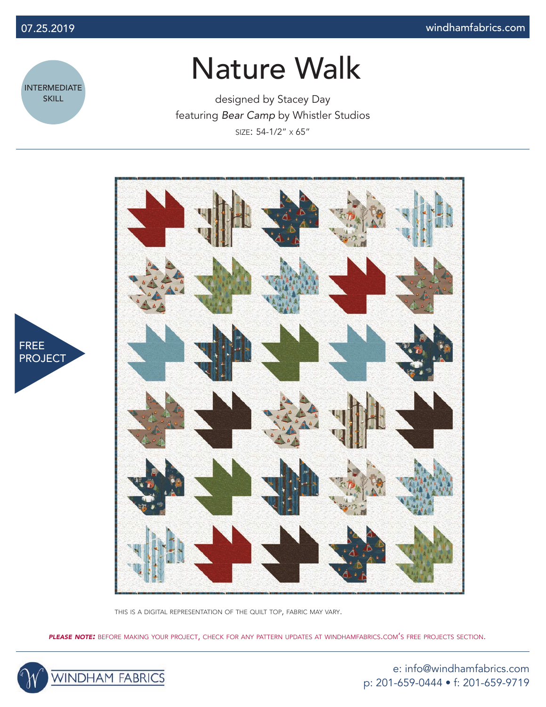

designed by Stacey Day featuring *Bear Camp* by Whistler Studios size: 54-1/2" x 65"



this is <sup>a</sup> digital representation of the quilt top, fabric may vary.

*please note:* before making your project, check for any pattern updates at windhamfabrics.com's free projects section.



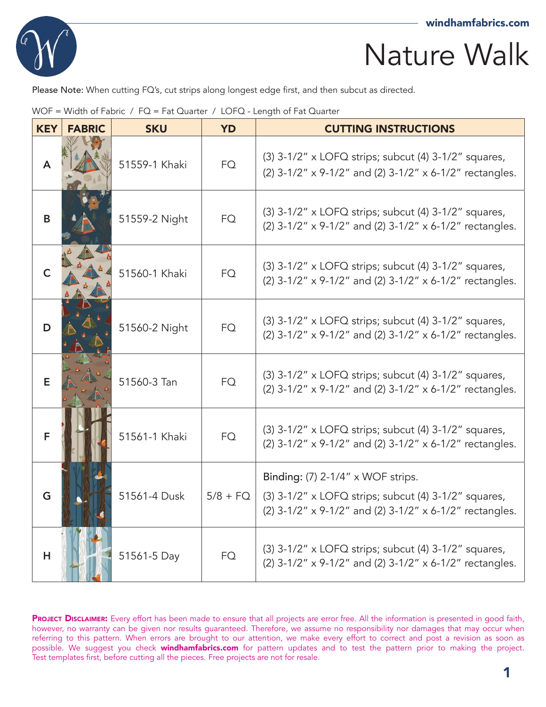

Please Note: When cutting FQ's, cut strips along longest edge first, and then subcut as directed.

| <b>KEY</b>   | <b>FABRIC</b> | <b>SKU</b>    | <b>YD</b>  | <b>CUTTING INSTRUCTIONS</b>                                                                                                                            |
|--------------|---------------|---------------|------------|--------------------------------------------------------------------------------------------------------------------------------------------------------|
| $\mathsf{A}$ |               | 51559-1 Khaki | FQ         | (3) 3-1/2" x LOFQ strips; subcut (4) 3-1/2" squares,<br>(2) 3-1/2" x 9-1/2" and (2) 3-1/2" x 6-1/2" rectangles.                                        |
| B            |               | 51559-2 Night | FQ         | $(3)$ 3-1/2" x LOFQ strips; subcut (4) 3-1/2" squares,<br>(2) 3-1/2" x 9-1/2" and (2) 3-1/2" x 6-1/2" rectangles.                                      |
| $\mathsf{C}$ |               | 51560-1 Khaki | FQ         | (3) 3-1/2" x LOFQ strips; subcut (4) 3-1/2" squares,<br>(2) 3-1/2" x 9-1/2" and (2) 3-1/2" x 6-1/2" rectangles.                                        |
| D            |               | 51560-2 Night | FQ         | $(3)$ 3-1/2" x LOFQ strips; subcut (4) 3-1/2" squares,<br>(2) 3-1/2" x 9-1/2" and (2) 3-1/2" x 6-1/2" rectangles.                                      |
| E            |               | 51560-3 Tan   | FQ         | (3) 3-1/2" x LOFQ strips; subcut (4) 3-1/2" squares,<br>(2) 3-1/2" x 9-1/2" and (2) 3-1/2" x 6-1/2" rectangles.                                        |
| F.           |               | 51561-1 Khaki | FQ         | (3) 3-1/2" x LOFQ strips; subcut (4) 3-1/2" squares,<br>(2) 3-1/2" x 9-1/2" and (2) 3-1/2" x 6-1/2" rectangles.                                        |
| G            |               | 51561-4 Dusk  | $5/8$ + FQ | Binding: $(7)$ 2-1/4" x WOF strips.<br>(3) 3-1/2" x LOFQ strips; subcut (4) 3-1/2" squares,<br>(2) 3-1/2" x 9-1/2" and (2) 3-1/2" x 6-1/2" rectangles. |
| H            |               | 51561-5 Day   | FQ         | (3) 3-1/2" x LOFQ strips; subcut (4) 3-1/2" squares,<br>(2) 3-1/2" x 9-1/2" and (2) 3-1/2" x 6-1/2" rectangles.                                        |

PROJECT DISCLAIMER: Every effort has been made to ensure that all projects are error free. All the information is presented in good faith, however, no warranty can be given nor results guaranteed. Therefore, we assume no responsibility nor damages that may occur when referring to this pattern. When errors are brought to our attention, we make every effort to correct and post a revision as soon as possible. We suggest you check windhamfabrics.com for pattern updates and to test the pattern prior to making the project. Test templates first, before cutting all the pieces. Free projects are not for resale.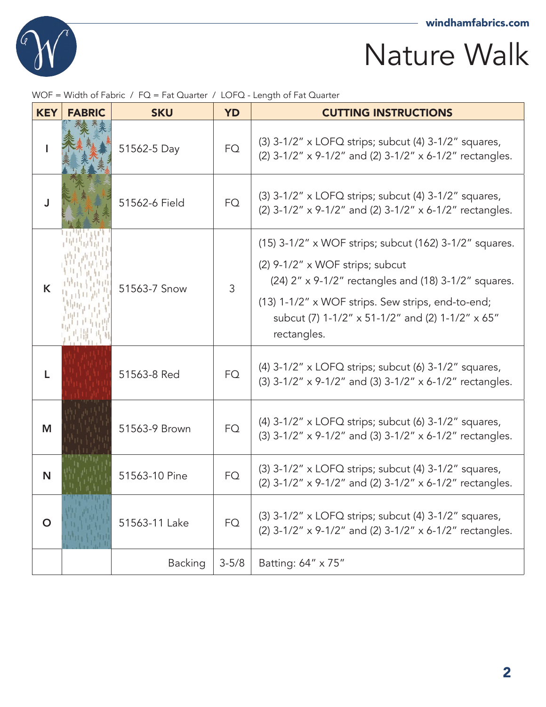

WOF = Width of Fabric / FQ = Fat Quarter / LOFQ - Length of Fat Quarter

| <b>KEY</b> | <b>FABRIC</b> | <b>SKU</b>     | <b>YD</b> | <b>CUTTING INSTRUCTIONS</b>                                                                                                                                                                                                                                               |
|------------|---------------|----------------|-----------|---------------------------------------------------------------------------------------------------------------------------------------------------------------------------------------------------------------------------------------------------------------------------|
| L          |               | 51562-5 Day    | FQ        | $(3)$ 3-1/2" x LOFQ strips; subcut (4) 3-1/2" squares,<br>(2) 3-1/2" x 9-1/2" and (2) 3-1/2" x 6-1/2" rectangles.                                                                                                                                                         |
|            |               | 51562-6 Field  | FQ        | $(3)$ 3-1/2" x LOFQ strips; subcut $(4)$ 3-1/2" squares,<br>(2) 3-1/2" x 9-1/2" and (2) 3-1/2" x 6-1/2" rectangles.                                                                                                                                                       |
| K          |               | 51563-7 Snow   | 3         | (15) 3-1/2" x WOF strips; subcut (162) 3-1/2" squares.<br>(2) 9-1/2" x WOF strips; subcut<br>(24) 2" x 9-1/2" rectangles and (18) 3-1/2" squares.<br>(13) 1-1/2" x WOF strips. Sew strips, end-to-end;<br>subcut (7) 1-1/2" x 51-1/2" and (2) 1-1/2" x 65"<br>rectangles. |
|            |               | 51563-8 Red    | FQ        | (4) 3-1/2" x LOFQ strips; subcut (6) 3-1/2" squares,<br>(3) 3-1/2" x 9-1/2" and (3) 3-1/2" x 6-1/2" rectangles.                                                                                                                                                           |
| M          |               | 51563-9 Brown  | FQ        | (4) 3-1/2" x LOFQ strips; subcut (6) 3-1/2" squares,<br>(3) 3-1/2" x 9-1/2" and (3) 3-1/2" x 6-1/2" rectangles.                                                                                                                                                           |
| N          |               | 51563-10 Pine  | FQ        | (3) 3-1/2" x LOFQ strips; subcut (4) 3-1/2" squares,<br>(2) 3-1/2" x 9-1/2" and (2) 3-1/2" x 6-1/2" rectangles.                                                                                                                                                           |
| O          |               | 51563-11 Lake  | FQ        | (3) 3-1/2" x LOFQ strips; subcut (4) 3-1/2" squares,<br>(2) 3-1/2" x 9-1/2" and (2) 3-1/2" x 6-1/2" rectangles.                                                                                                                                                           |
|            |               | <b>Backing</b> | $3 - 5/8$ | Batting: 64" x 75"                                                                                                                                                                                                                                                        |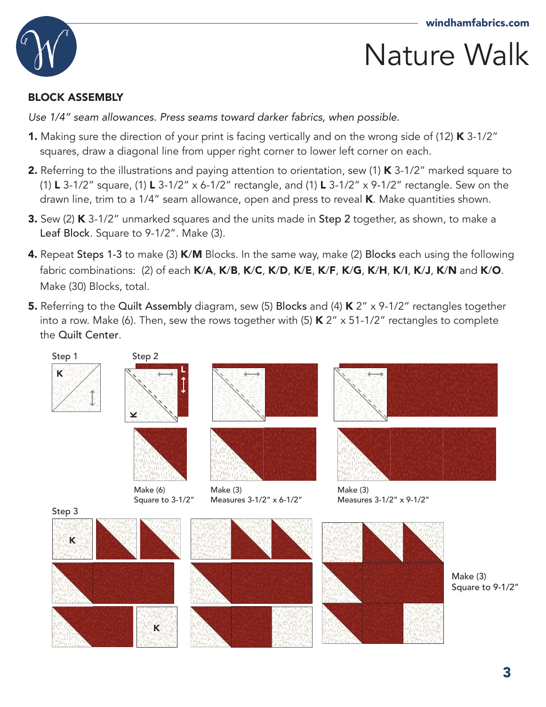

#### BLOCK ASSEMBLY

*Use 1/4" seam allowances. Press seams toward darker fabrics, when possible.*

- **1.** Making sure the direction of your print is facing vertically and on the wrong side of (12) **K** 3-1/2" squares, draw a diagonal line from upper right corner to lower left corner on each.
- 2. Referring to the illustrations and paying attention to orientation, sew (1) **K** 3-1/2" marked square to (1) L 3-1/2" square, (1) L 3-1/2" x 6-1/2" rectangle, and (1) L 3-1/2" x 9-1/2" rectangle. Sew on the drawn line, trim to a 1/4" seam allowance, open and press to reveal **K**. Make quantities shown.
- 3. Sew (2) K 3-1/2" unmarked squares and the units made in Step 2 together, as shown, to make a Leaf Block. Square to 9-1/2". Make (3).
- **4.** Repeat Steps 1-3 to make (3) **K/M** Blocks. In the same way, make (2) Blocks each using the following fabric combinations: (2) of each K/A, K/B, K/C, K/D, K/E, K/F, K/G, K/H, K/I, K/J, K/N and K/O. Make (30) Blocks, total.
- **5.** Referring to the Quilt Assembly diagram, sew (5) Blocks and (4) **K** 2" x 9-1/2" rectangles together into a row. Make (6). Then, sew the rows together with (5)  $K 2'' \times 51$ -1/2" rectangles to complete the Quilt Center.